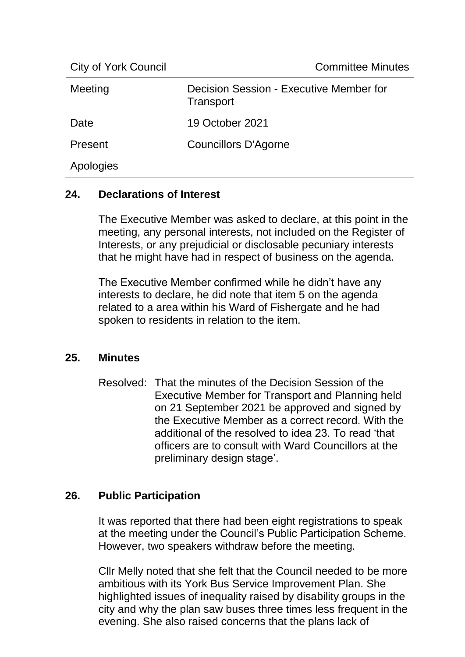City of York Council Committee Minutes

| $\sum_{i=1}^{n}$ |                                                      |
|------------------|------------------------------------------------------|
| Meeting          | Decision Session - Executive Member for<br>Transport |
| Date             | 19 October 2021                                      |
| Present          | <b>Councillors D'Agorne</b>                          |
| Apologies        |                                                      |
|                  |                                                      |

#### **24. Declarations of Interest**

The Executive Member was asked to declare, at this point in the meeting, any personal interests, not included on the Register of Interests, or any prejudicial or disclosable pecuniary interests that he might have had in respect of business on the agenda.

The Executive Member confirmed while he didn't have any interests to declare, he did note that item 5 on the agenda related to a area within his Ward of Fishergate and he had spoken to residents in relation to the item.

#### **25. Minutes**

Resolved: That the minutes of the Decision Session of the Executive Member for Transport and Planning held on 21 September 2021 be approved and signed by the Executive Member as a correct record. With the additional of the resolved to idea 23. To read 'that officers are to consult with Ward Councillors at the preliminary design stage'.

## **26. Public Participation**

It was reported that there had been eight registrations to speak at the meeting under the Council's Public Participation Scheme. However, two speakers withdraw before the meeting.

Cllr Melly noted that she felt that the Council needed to be more ambitious with its York Bus Service Improvement Plan. She highlighted issues of inequality raised by disability groups in the city and why the plan saw buses three times less frequent in the evening. She also raised concerns that the plans lack of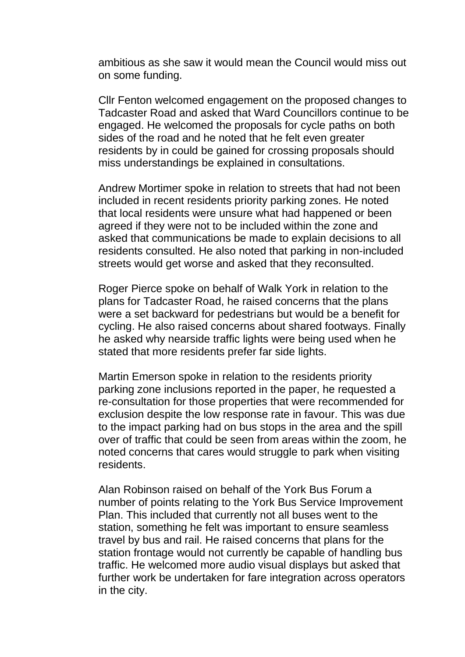ambitious as she saw it would mean the Council would miss out on some funding.

Cllr Fenton welcomed engagement on the proposed changes to Tadcaster Road and asked that Ward Councillors continue to be engaged. He welcomed the proposals for cycle paths on both sides of the road and he noted that he felt even greater residents by in could be gained for crossing proposals should miss understandings be explained in consultations.

Andrew Mortimer spoke in relation to streets that had not been included in recent residents priority parking zones. He noted that local residents were unsure what had happened or been agreed if they were not to be included within the zone and asked that communications be made to explain decisions to all residents consulted. He also noted that parking in non-included streets would get worse and asked that they reconsulted.

Roger Pierce spoke on behalf of Walk York in relation to the plans for Tadcaster Road, he raised concerns that the plans were a set backward for pedestrians but would be a benefit for cycling. He also raised concerns about shared footways. Finally he asked why nearside traffic lights were being used when he stated that more residents prefer far side lights.

Martin Emerson spoke in relation to the residents priority parking zone inclusions reported in the paper, he requested a re-consultation for those properties that were recommended for exclusion despite the low response rate in favour. This was due to the impact parking had on bus stops in the area and the spill over of traffic that could be seen from areas within the zoom, he noted concerns that cares would struggle to park when visiting residents.

Alan Robinson raised on behalf of the York Bus Forum a number of points relating to the York Bus Service Improvement Plan. This included that currently not all buses went to the station, something he felt was important to ensure seamless travel by bus and rail. He raised concerns that plans for the station frontage would not currently be capable of handling bus traffic. He welcomed more audio visual displays but asked that further work be undertaken for fare integration across operators in the city.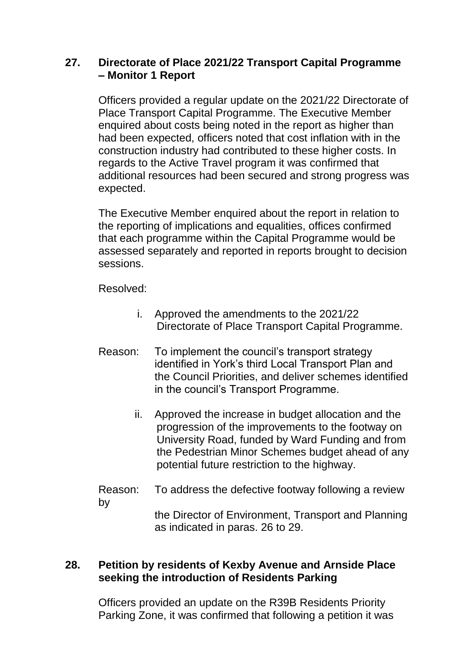## **27. Directorate of Place 2021/22 Transport Capital Programme – Monitor 1 Report**

Officers provided a regular update on the 2021/22 Directorate of Place Transport Capital Programme. The Executive Member enquired about costs being noted in the report as higher than had been expected, officers noted that cost inflation with in the construction industry had contributed to these higher costs. In regards to the Active Travel program it was confirmed that additional resources had been secured and strong progress was expected.

The Executive Member enquired about the report in relation to the reporting of implications and equalities, offices confirmed that each programme within the Capital Programme would be assessed separately and reported in reports brought to decision sessions.

Resolved:

- i. Approved the amendments to the 2021/22 Directorate of Place Transport Capital Programme.
- Reason: To implement the council's transport strategy identified in York's third Local Transport Plan and the Council Priorities, and deliver schemes identified in the council's Transport Programme.
	- ii. Approved the increase in budget allocation and the progression of the improvements to the footway on University Road, funded by Ward Funding and from the Pedestrian Minor Schemes budget ahead of any potential future restriction to the highway.
- Reason: To address the defective footway following a review by

the Director of Environment, Transport and Planning as indicated in paras. 26 to 29.

## **28. Petition by residents of Kexby Avenue and Arnside Place seeking the introduction of Residents Parking**

Officers provided an update on the R39B Residents Priority Parking Zone, it was confirmed that following a petition it was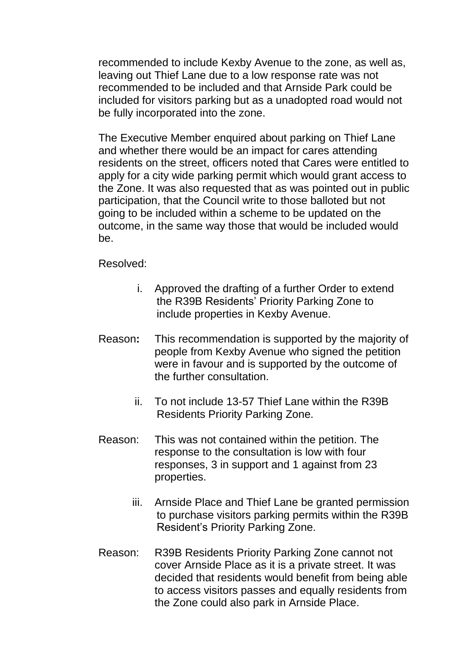recommended to include Kexby Avenue to the zone, as well as, leaving out Thief Lane due to a low response rate was not recommended to be included and that Arnside Park could be included for visitors parking but as a unadopted road would not be fully incorporated into the zone.

The Executive Member enquired about parking on Thief Lane and whether there would be an impact for cares attending residents on the street, officers noted that Cares were entitled to apply for a city wide parking permit which would grant access to the Zone. It was also requested that as was pointed out in public participation, that the Council write to those balloted but not going to be included within a scheme to be updated on the outcome, in the same way those that would be included would be.

Resolved:

- i. Approved the drafting of a further Order to extend the R39B Residents' Priority Parking Zone to include properties in Kexby Avenue.
- Reason**:** This recommendation is supported by the majority of people from Kexby Avenue who signed the petition were in favour and is supported by the outcome of the further consultation.
	- ii. To not include 13-57 Thief Lane within the R39B Residents Priority Parking Zone.
- Reason: This was not contained within the petition. The response to the consultation is low with four responses, 3 in support and 1 against from 23 properties.
	- iii. Arnside Place and Thief Lane be granted permission to purchase visitors parking permits within the R39B Resident's Priority Parking Zone.
- Reason: R39B Residents Priority Parking Zone cannot not cover Arnside Place as it is a private street. It was decided that residents would benefit from being able to access visitors passes and equally residents from the Zone could also park in Arnside Place.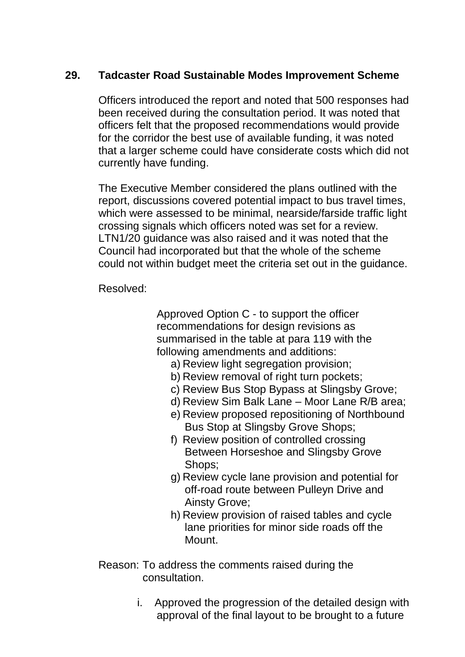# **29. Tadcaster Road Sustainable Modes Improvement Scheme**

Officers introduced the report and noted that 500 responses had been received during the consultation period. It was noted that officers felt that the proposed recommendations would provide for the corridor the best use of available funding, it was noted that a larger scheme could have considerate costs which did not currently have funding.

The Executive Member considered the plans outlined with the report, discussions covered potential impact to bus travel times, which were assessed to be minimal, nearside/farside traffic light crossing signals which officers noted was set for a review. LTN1/20 guidance was also raised and it was noted that the Council had incorporated but that the whole of the scheme could not within budget meet the criteria set out in the guidance.

Resolved:

Approved Option C - to support the officer recommendations for design revisions as summarised in the table at para 119 with the following amendments and additions:

- a) Review light segregation provision;
- b) Review removal of right turn pockets;
- c) Review Bus Stop Bypass at Slingsby Grove;
- d) Review Sim Balk Lane Moor Lane R/B area;
- e) Review proposed repositioning of Northbound Bus Stop at Slingsby Grove Shops;
- f) Review position of controlled crossing Between Horseshoe and Slingsby Grove Shops;
- g) Review cycle lane provision and potential for off-road route between Pulleyn Drive and Ainsty Grove;
- h) Review provision of raised tables and cycle lane priorities for minor side roads off the Mount.
- Reason: To address the comments raised during the consultation.
	- i. Approved the progression of the detailed design with approval of the final layout to be brought to a future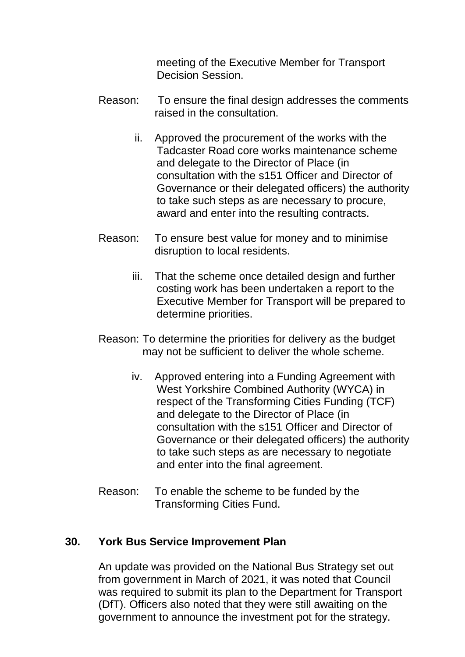meeting of the Executive Member for Transport Decision Session.

- Reason: To ensure the final design addresses the comments raised in the consultation.
	- ii. Approved the procurement of the works with the Tadcaster Road core works maintenance scheme and delegate to the Director of Place (in consultation with the s151 Officer and Director of Governance or their delegated officers) the authority to take such steps as are necessary to procure, award and enter into the resulting contracts.
- Reason: To ensure best value for money and to minimise disruption to local residents.
	- iii. That the scheme once detailed design and further costing work has been undertaken a report to the Executive Member for Transport will be prepared to determine priorities.
- Reason: To determine the priorities for delivery as the budget may not be sufficient to deliver the whole scheme.
	- iv. Approved entering into a Funding Agreement with West Yorkshire Combined Authority (WYCA) in respect of the Transforming Cities Funding (TCF) and delegate to the Director of Place (in consultation with the s151 Officer and Director of Governance or their delegated officers) the authority to take such steps as are necessary to negotiate and enter into the final agreement.
- Reason: To enable the scheme to be funded by the Transforming Cities Fund.

#### **30. York Bus Service Improvement Plan**

An update was provided on the National Bus Strategy set out from government in March of 2021, it was noted that Council was required to submit its plan to the Department for Transport (DfT). Officers also noted that they were still awaiting on the government to announce the investment pot for the strategy.